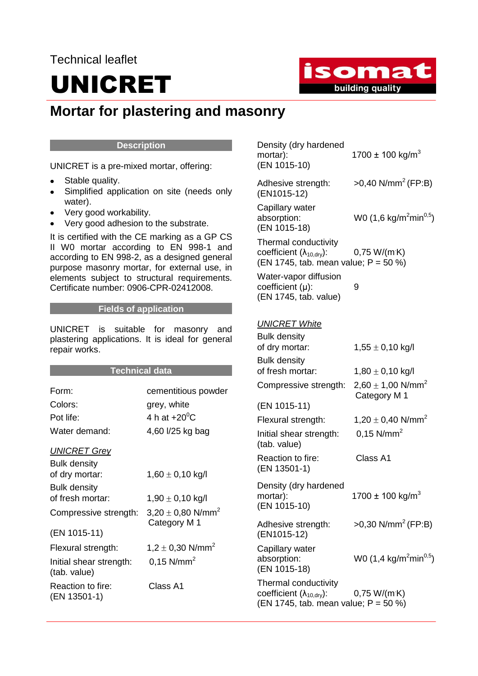### Technical leaflet

# UNICRET

isomat building quality

### **Mortar for plastering and masonry**

#### **Description**

UNICRET is a pre-mixed mortar, offering:

- Stable quality.  $\bullet$
- Simplified application on site (needs only water).
- Very good workability.  $\bullet$
- Very good adhesion to the substrate.

It is certified with the CE marking as a GP CS II W0 mortar according to EN 998-1 and according to EN 998-2, as a designed general purpose masonry mortar, for external use, in elements subject to structural requirements. Certificate number: 0906-CPR-02412008.

#### **Fields of application**

UNICRET is suitable for masonry and plastering applications. It is ideal for general repair works.

#### **Technical data**

| Form:                                   | cementitious powder                               |
|-----------------------------------------|---------------------------------------------------|
| Colors:                                 | grey, white                                       |
| Pot life:                               | 4 h at $+20^0$ C                                  |
| Water demand:                           | 4,60 l/25 kg bag                                  |
| <b>UNICRET Grey</b>                     |                                                   |
| <b>Bulk density</b>                     |                                                   |
| of dry mortar:                          | $1,60 \pm 0,10$ kg/l                              |
| <b>Bulk density</b>                     |                                                   |
| of fresh mortar:                        | $1,90 \pm 0,10$ kg/l                              |
| Compressive strength:                   | $3,20 \pm 0,80$ N/mm <sup>2</sup><br>Category M 1 |
| (EN 1015-11)                            |                                                   |
| Flexural strength:                      | 1,2 $\pm$ 0,30 N/mm <sup>2</sup>                  |
| Initial shear strength:<br>(tab. value) | $0,15$ N/mm <sup>2</sup>                          |
| Reaction to fire:<br>(EN 13501-1)       | Class A1                                          |

| Density (dry hardened<br>mortar):<br>(EN 1015-10)                                                          | 1700 ± 100 kg/m <sup>3</sup>                      |
|------------------------------------------------------------------------------------------------------------|---------------------------------------------------|
| Adhesive strength:<br>(EN1015-12)                                                                          | $>0,40$ N/mm <sup>2</sup> (FP:B)                  |
| Capillary water<br>absorption:<br>(EN 1015-18)                                                             | W0 (1,6 kg/m <sup>2</sup> min <sup>0,5</sup> )    |
| Thermal conductivity<br>coefficient $(\lambda_{10, \text{dry}})$ :<br>(EN 1745, tab. mean value; P = 50 %) | $0,75$ W/(mK)                                     |
| Water-vapor diffusion<br>coefficient (µ):<br>(EN 1745, tab. value)                                         | 9                                                 |
| <b>UNICRET White</b>                                                                                       |                                                   |
| <b>Bulk density</b>                                                                                        |                                                   |
| of dry mortar:                                                                                             | 1,55 $\pm$ 0,10 kg/l                              |
| <b>Bulk density</b>                                                                                        |                                                   |
| of fresh mortar:                                                                                           | $1,80 \pm 0,10$ kg/l                              |
| Compressive strength:                                                                                      | $2,60 \pm 1,00$ N/mm <sup>2</sup><br>Category M 1 |
| (EN 1015-11)                                                                                               |                                                   |
| Flexural strength:                                                                                         | 1,20 $\pm$ 0,40 N/mm <sup>2</sup>                 |
| Initial shear strength:<br>(tab. value)                                                                    | $0,15$ N/mm <sup>2</sup>                          |
| Reaction to fire:<br>(EN 13501-1)                                                                          | Class A1                                          |
| Density (dry hardened<br>mortar):<br>(EN 1015-10)                                                          | 1700 $\pm$ 100 kg/m <sup>3</sup>                  |
| Adhesive strength:<br>(EN1015-12)                                                                          | $>0,30$ N/mm <sup>2</sup> (FP:B)                  |
| Capillary water<br>absorption:<br>(EN 1015-18)                                                             | W0 (1,4 kg/m <sup>2</sup> min <sup>0,5</sup> )    |
| Thermal conductivity<br>coefficient $(\lambda_{10, dry})$ :<br>(EN 1745, tab. mean value; P = 50 %)        | 0,75 W/(m K)                                      |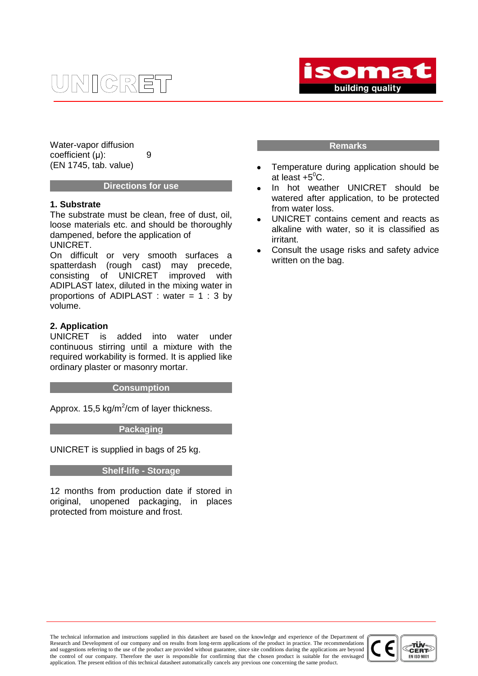## **JNIGRET**



Water-vapor diffusion coefficient (μ): 9 (EN 1745, tab. value)

#### **Directions for use**

#### **1. Substrate**

The substrate must be clean, free of dust, oil, loose materials etc. and should be thoroughly dampened, before the application of UNICRET.

On difficult or very smooth surfaces a spatterdash (rough cast) may precede, consisting of UNICRET improved with ADIPLAST latex, diluted in the mixing water in proportions of ADIPLAST : water  $= 1 : 3$  by volume.

#### **2. Application**

UNICRET is added into water under continuous stirring until a mixture with the required workability is formed. It is applied like ordinary plaster or masonry mortar.

#### **Consumption**

Approx. 15,5 kg/m<sup>2</sup>/cm of layer thickness.

#### **Packaging**

UNICRET is supplied in bags of 25 kg.

#### **Shelf-life - Storage**

12 months from production date if stored in original, unopened packaging, in places protected from moisture and frost.

#### **Remarks**

- Temperature during application should be at least  $+5^0C$ .
- In hot weather UNICRET should be watered after application, to be protected from water loss.
- UNICRET contains cement and reacts as alkaline with water, so it is classified as irritant.
- Consult the usage risks and safety advice written on the bag.

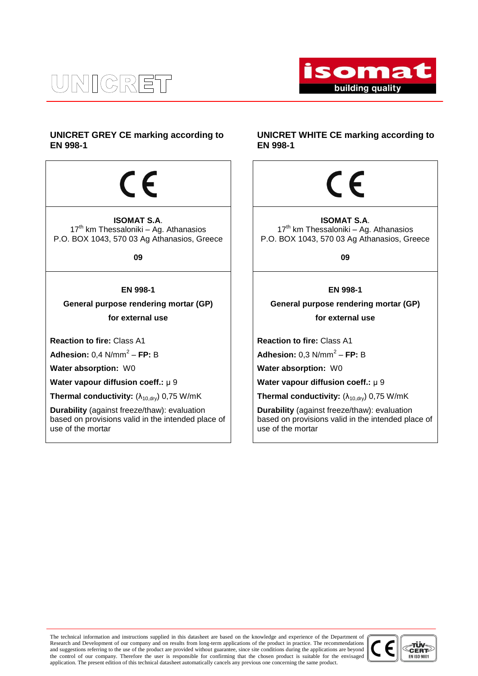### UNICRET



#### **UNICRET GREY CE marking according to EN 998-1**

 $\epsilon$ 

**ISOMAT S.A**.  $17<sup>th</sup>$  km Thessaloniki – Ag. Athanasios P.O. BOX 1043, 570 03 Ag Athanasios, Greece

**09**

#### **EN 998-1**

**General purpose rendering mortar (GP) for external use**

**Reaction to fire:** Class A1

**Adhesion:** 0,4 N/mm<sup>2</sup> – **FP:** B

**Water absorption:** W0

**Water vapour diffusion coeff.:** μ 9

**Thermal conductivity:** (λ<sub>10,dry</sub>) 0,75 W/mK

**Durability** (against freeze/thaw): evaluation based on provisions valid in the intended place of use of the mortar

#### **UNICRET WHITE CE marking according to EN 998-1**



**ISOMAT S.A**.  $17<sup>th</sup>$  km Thessaloniki – Ag. Athanasios P.O. BOX 1043, 570 03 Ag Athanasios, Greece

**09**

**EN 998-1**

**General purpose rendering mortar (GP) for external use**

**Reaction to fire:** Class A1

**Adhesion:** 0,3 N/mm<sup>2</sup> - **FP:** B

**Water absorption:** W0

**Water vapour diffusion coeff.:** μ 9

**Thermal conductivity:**  $(\lambda_{10, \text{dry}})$  0,75 W/mK

**Durability** (against freeze/thaw): evaluation based on provisions valid in the intended place of use of the mortar

The technical information and instructions supplied in this datasheet are based on the knowledge and experience of the Department of Research and Development of our company and on results from long-term applications of the product in practice. The recommendations and suggestions referring to the use of the product are provided without guarantee, since site conditions during the applications are beyond the control of our company. Therefore the user is responsible for confirming that the chosen product is suitable for the envisaged application. The present edition of this technical datasheet automatically cancels any previous one concerning the same product.